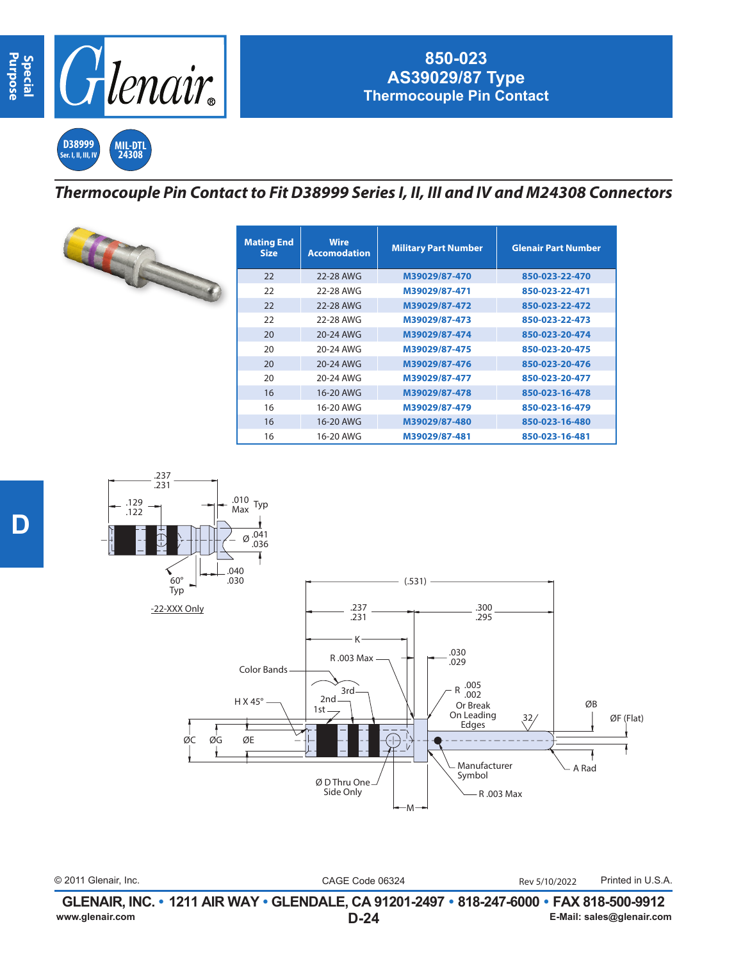

## **850-023 AS39029/87 Type Thermocouple Pin Contact**

**D38999 Ser. I, II, III, IV MIL-DTL 24308**

## *Thermocouple Pin Contact to Fit D38999 Series I, II, III and IV and M24308 Connectors*

| <b>Mating End</b><br><b>Size</b> | <b>Wire</b><br><b>Accomodation</b> | <b>Military Part Number</b> | <b>Glenair Part Number</b> |
|----------------------------------|------------------------------------|-----------------------------|----------------------------|
| 22                               | 22-28 AWG                          | M39029/87-470               | 850-023-22-470             |
| 22                               | 22-28 AWG                          | M39029/87-471               | 850-023-22-471             |
| 22                               | 22-28 AWG                          | M39029/87-472               | 850-023-22-472             |
| 22                               | 22-28 AWG                          | M39029/87-473               | 850-023-22-473             |
| 20                               | 20-24 AWG                          | M39029/87-474               | 850-023-20-474             |
| 20                               | 20-24 AWG                          | M39029/87-475               | 850-023-20-475             |
| 20                               | 20-24 AWG                          | M39029/87-476               | 850-023-20-476             |
| 20                               | 20-24 AWG                          | M39029/87-477               | 850-023-20-477             |
| 16                               | 16-20 AWG                          | M39029/87-478               | 850-023-16-478             |
| 16                               | 16-20 AWG                          | M39029/87-479               | 850-023-16-479             |
| 16                               | 16-20 AWG                          | M39029/87-480               | 850-023-16-480             |
| 16                               | 16-20 AWG                          | M39029/87-481               | 850-023-16-481             |



© 2011 Glenair, Inc. CAGE Code 06324 Printed in U.S.A. Rev 5/10/2022

**D-24 GLENAIR, INC. • 1211 AIR WAY • GLENDALE, CA 91201-2497 • 818-247-6000 • FAX 818-500-9912**<br>E-Mail: sales@glenair.com **www.glenair.com E-Mail: sales@glenair.com**